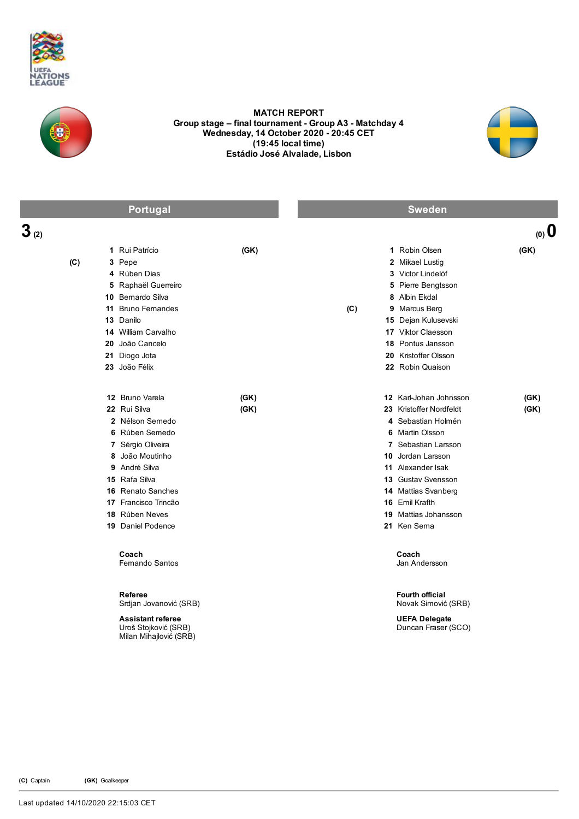



## MATCH REPORT Group stage – final tournament - Group A3 - Matchday 4 Wednesday, 14 October 2020 - 20:45 CET (19:45 local time) Estádio José Alvalade, Lisbon



|           | Portugal                                                                   |      | <b>Sweden</b> |                                             |        |  |
|-----------|----------------------------------------------------------------------------|------|---------------|---------------------------------------------|--------|--|
| $3_{(2)}$ |                                                                            |      |               |                                             | (0, 0) |  |
|           | 1 Rui Patrício                                                             | (GK) |               | 1 Robin Olsen                               | (GK)   |  |
| (C)       | 3 Pepe                                                                     |      |               | 2 Mikael Lustig                             |        |  |
|           | 4 Rúben Dias                                                               |      |               | 3 Victor Lindelöf                           |        |  |
|           | 5 Raphaël Guerreiro                                                        |      |               | 5 Pierre Bengtsson                          |        |  |
|           | 10 Bernardo Silva                                                          |      |               | 8 Albin Ekdal                               |        |  |
|           | 11 Bruno Fernandes                                                         |      | (C)           | 9 Marcus Berg                               |        |  |
|           | 13 Danilo                                                                  |      |               | 15 Dejan Kulusevski                         |        |  |
|           | 14 William Carvalho                                                        |      |               | 17 Viktor Claesson                          |        |  |
|           | 20 João Cancelo                                                            |      |               | 18 Pontus Jansson                           |        |  |
|           | 21 Diogo Jota                                                              |      |               | 20 Kristoffer Olsson                        |        |  |
|           | 23 João Félix                                                              |      |               | 22 Robin Quaison                            |        |  |
|           | 12 Bruno Varela                                                            | (GK) |               | 12 Karl-Johan Johnsson                      | (GK)   |  |
|           | 22 Rui Silva                                                               | (GK) |               | 23 Kristoffer Nordfeldt                     | (GK)   |  |
|           | 2 Nélson Semedo                                                            |      |               | 4 Sebastian Holmén                          |        |  |
|           | 6 Rúben Semedo                                                             |      |               | 6 Martin Olsson                             |        |  |
|           | 7 Sérgio Oliveira                                                          |      |               | 7 Sebastian Larsson                         |        |  |
|           | 8 João Moutinho                                                            |      |               | 10 Jordan Larsson                           |        |  |
|           | 9 André Silva                                                              |      |               | <b>11</b> Alexander Isak                    |        |  |
|           | 15 Rafa Silva                                                              |      |               | 13 Gustav Svensson                          |        |  |
|           | 16 Renato Sanches                                                          |      |               | 14 Mattias Svanberg                         |        |  |
|           | 17 Francisco Trincão                                                       |      |               | 16 Emil Krafth                              |        |  |
|           | 18 Rúben Neves                                                             |      |               | 19 Mattias Johansson                        |        |  |
|           | 19 Daniel Podence                                                          |      |               | 21 Ken Sema                                 |        |  |
|           | Coach<br><b>Femando Santos</b>                                             |      |               | Coach<br>Jan Andersson                      |        |  |
|           | <b>Referee</b><br>Srdjan Jovanović (SRB)                                   |      |               | Fourth official<br>Novak Simović (SRB)      |        |  |
|           | <b>Assistant referee</b><br>Uroš Stojković (SRB)<br>Milan Mihajlović (SRB) |      |               | <b>UEFA Delegate</b><br>Duncan Fraser (SCO) |        |  |
|           |                                                                            |      |               |                                             |        |  |